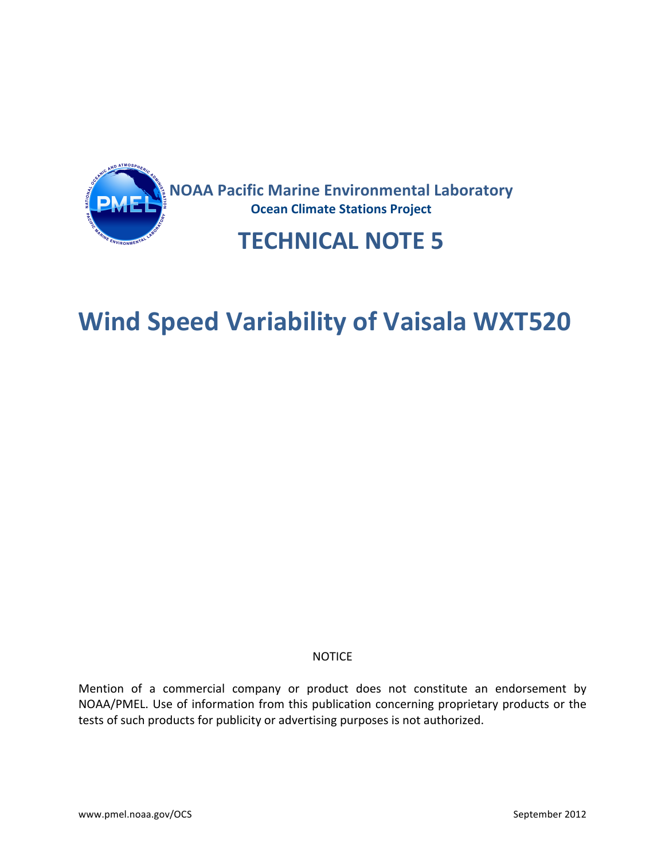

## **Wind Speed Variability of Vaisala WXT520**

#### **NOTICE**

Mention of a commercial company or product does not constitute an endorsement by NOAA/PMEL. Use of information from this publication concerning proprietary products or the tests of such products for publicity or advertising purposes is not authorized.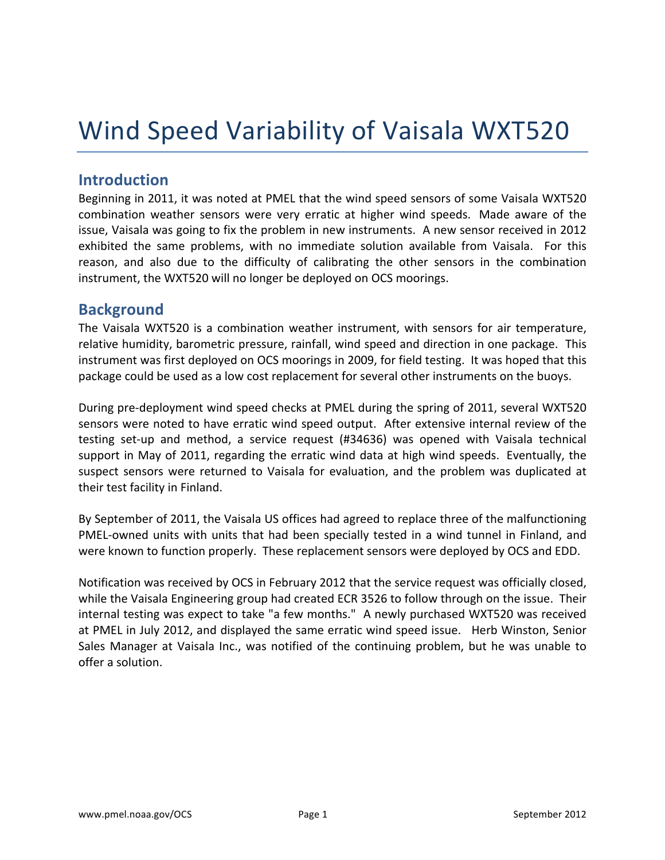# Wind Speed Variability of Vaisala WXT520

### **Introduction**

Beginning in 2011, it was noted at PMEL that the wind speed sensors of some Vaisala WXT520 combination weather sensors were very erratic at higher wind speeds. Made aware of the issue, Vaisala was going to fix the problem in new instruments. A new sensor received in 2012 exhibited the same problems, with no immediate solution available from Vaisala. For this reason, and also due to the difficulty of calibrating the other sensors in the combination instrument, the WXT520 will no longer be deployed on OCS moorings.

#### **Background**

The Vaisala WXT520 is a combination weather instrument, with sensors for air temperature, relative humidity, barometric pressure, rainfall, wind speed and direction in one package. This instrument was first deployed on OCS moorings in 2009, for field testing. It was hoped that this package could be used as a low cost replacement for several other instruments on the buoys.

During pre-deployment wind speed checks at PMEL during the spring of 2011, several WXT520 sensors were noted to have erratic wind speed output. After extensive internal review of the testing set-up and method, a service request (#34636) was opened with Vaisala technical support in May of 2011, regarding the erratic wind data at high wind speeds. Eventually, the suspect sensors were returned to Vaisala for evaluation, and the problem was duplicated at their test facility in Finland.

By September of 2011, the Vaisala US offices had agreed to replace three of the malfunctioning PMEL-owned units with units that had been specially tested in a wind tunnel in Finland, and were known to function properly. These replacement sensors were deployed by OCS and EDD.

Notification was received by OCS in February 2012 that the service request was officially closed, while the Vaisala Engineering group had created ECR 3526 to follow through on the issue. Their internal testing was expect to take "a few months." A newly purchased WXT520 was received at PMEL in July 2012, and displayed the same erratic wind speed issue. Herb Winston, Senior Sales Manager at Vaisala Inc., was notified of the continuing problem, but he was unable to offer a solution.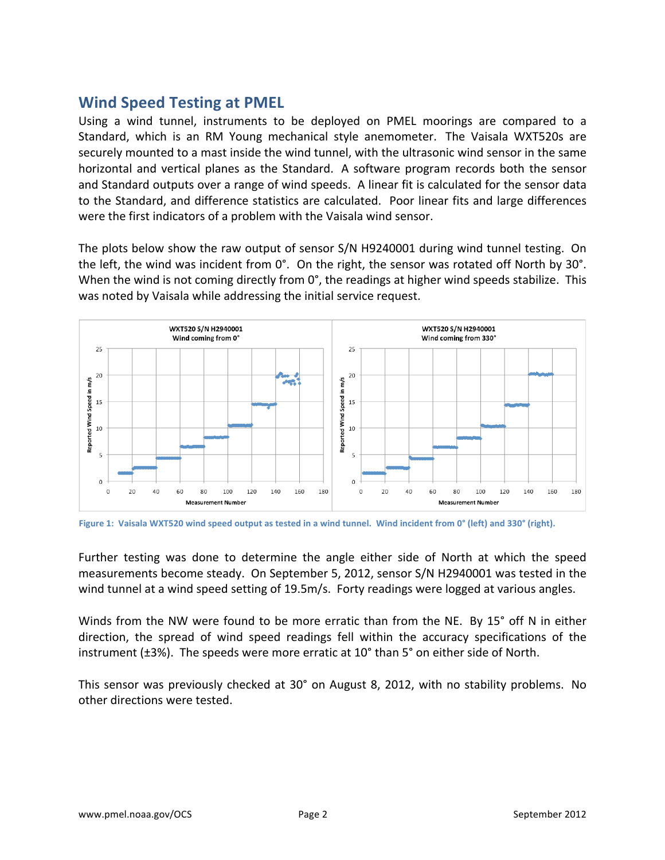### **Wind Speed Testing at PMEL**

Using a wind tunnel, instruments to be deployed on PMEL moorings are compared to a Standard, which is an RM Young mechanical style anemometer. The Vaisala WXT520s are securely mounted to a mast inside the wind tunnel, with the ultrasonic wind sensor in the same horizontal and vertical planes as the Standard. A software program records both the sensor and Standard outputs over a range of wind speeds. A linear fit is calculated for the sensor data to the Standard, and difference statistics are calculated. Poor linear fits and large differences were the first indicators of a problem with the Vaisala wind sensor.

The plots below show the raw output of sensor S/N H9240001 during wind tunnel testing. On the left, the wind was incident from 0°. On the right, the sensor was rotated off North by 30°. When the wind is not coming directly from 0°, the readings at higher wind speeds stabilize. This was noted by Vaisala while addressing the initial service request.





Further testing was done to determine the angle either side of North at which the speed measurements become steady. On September 5, 2012, sensor S/N H2940001 was tested in the wind tunnel at a wind speed setting of 19.5m/s. Forty readings were logged at various angles.

Winds from the NW were found to be more erratic than from the NE. By 15° off N in either direction, the spread of wind speed readings fell within the accuracy specifications of the instrument  $(\pm 3\%)$ . The speeds were more erratic at 10 $^{\circ}$  than 5 $^{\circ}$  on either side of North.

This sensor was previously checked at 30° on August 8, 2012, with no stability problems. No other directions were tested.